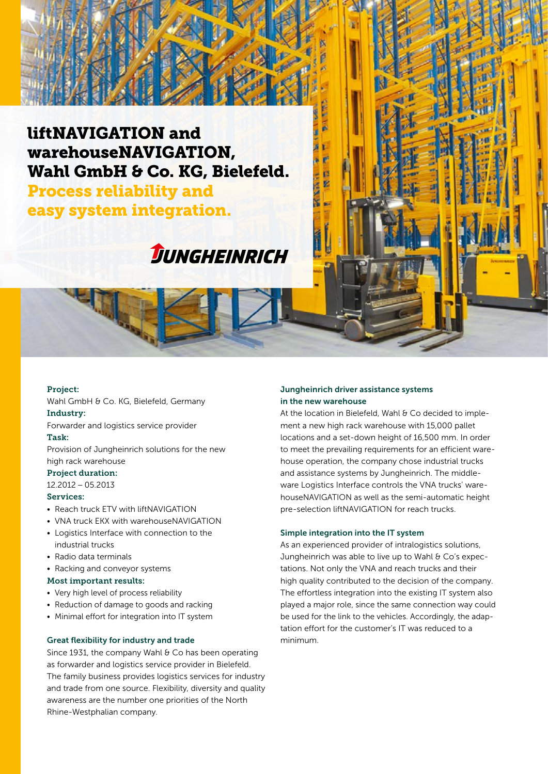## liftNAVIGATION and warehouseNAVIGATION, Wahl GmbH & Co. KG, Bielefeld.

Process reliability and easy system integration.

# DUNGHEINRICH

#### Project:

Wahl GmbH & Co. KG, Bielefeld, Germany Industry:

Forwarder and logistics service provider

## Task:

Provision of Jungheinrich solutions for the new high rack warehouse

#### Project duration:

12.2012 – 05.2013

#### Services:

- Reach truck ETV with liftNAVIGATION
- VNA truck EKX with warehouseNAVIGATION
- Logistics Interface with connection to the industrial trucks
- Radio data terminals
- Racking and conveyor systems

#### Most important results:

- Very high level of process reliability
- Reduction of damage to goods and racking
- Minimal effort for integration into IT system

#### Great flexibility for industry and trade

Since 1931, the company Wahl  $\theta$  Co has been operating as forwarder and logistics service provider in Bielefeld. The family business provides logistics services for industry and trade from one source. Flexibility, diversity and quality awareness are the number one priorities of the North Rhine-Westphalian company.

#### Jungheinrich driver assistance systems in the new warehouse

At the location in Bielefeld, Wahl & Co decided to implement a new high rack warehouse with 15,000 pallet locations and a set-down height of 16,500 mm. In order to meet the prevailing requirements for an efficient warehouse operation, the company chose industrial trucks and assistance systems by Jungheinrich. The middleware Logistics Interface controls the VNA trucks' warehouseNAVIGATION as well as the semi-automatic height pre-selection liftNAVIGATION for reach trucks.

#### Simple integration into the IT system

As an experienced provider of intralogistics solutions, Jungheinrich was able to live up to Wahl & Co's expectations. Not only the VNA and reach trucks and their high quality contributed to the decision of the company. The effortless integration into the existing IT system also played a major role, since the same connection way could be used for the link to the vehicles. Accordingly, the adaptation effort for the customer's IT was reduced to a minimum.